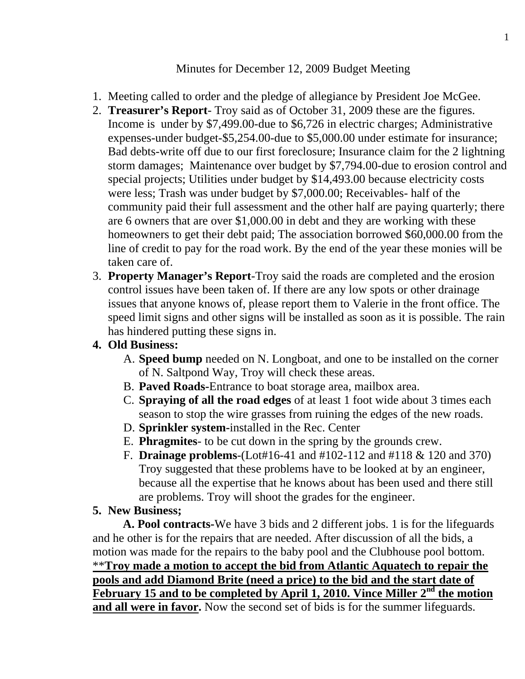## Minutes for December 12, 2009 Budget Meeting

- 1. Meeting called to order and the pledge of allegiance by President Joe McGee.
- 2. **Treasurer's Report** Troy said as of October 31, 2009 these are the figures. Income is under by \$7,499.00-due to \$6,726 in electric charges; Administrative expenses-under budget-\$5,254.00-due to \$5,000.00 under estimate for insurance; Bad debts-write off due to our first foreclosure; Insurance claim for the 2 lightning storm damages; Maintenance over budget by \$7,794.00-due to erosion control and special projects; Utilities under budget by \$14,493.00 because electricity costs were less; Trash was under budget by \$7,000.00; Receivables- half of the community paid their full assessment and the other half are paying quarterly; there are 6 owners that are over \$1,000.00 in debt and they are working with these homeowners to get their debt paid; The association borrowed \$60,000.00 from the line of credit to pay for the road work. By the end of the year these monies will be taken care of.
- 3. **Property Manager's Report**-Troy said the roads are completed and the erosion control issues have been taken of. If there are any low spots or other drainage issues that anyone knows of, please report them to Valerie in the front office. The speed limit signs and other signs will be installed as soon as it is possible. The rain has hindered putting these signs in.

# **4. Old Business:**

- A. **Speed bump** needed on N. Longboat, and one to be installed on the corner of N. Saltpond Way, Troy will check these areas.
- B. **Paved Roads-**Entrance to boat storage area, mailbox area.
- C. **Spraying of all the road edges** of at least 1 foot wide about 3 times each season to stop the wire grasses from ruining the edges of the new roads.
- D. **Sprinkler system-**installed in the Rec. Center
- E. **Phragmites** to be cut down in the spring by the grounds crew.
- F. **Drainage problems**-(Lot#16-41 and #102-112 and #118 & 120 and 370) Troy suggested that these problems have to be looked at by an engineer, because all the expertise that he knows about has been used and there still are problems. Troy will shoot the grades for the engineer.

# **5. New Business;**

 **A. Pool contracts-**We have 3 bids and 2 different jobs. 1 is for the lifeguards and he other is for the repairs that are needed. After discussion of all the bids, a motion was made for the repairs to the baby pool and the Clubhouse pool bottom. \*\***Troy made a motion to accept the bid from Atlantic Aquatech to repair the pools and add Diamond Brite (need a price) to the bid and the start date of February 15 and to be completed by April 1, 2010. Vince Miller 2nd the motion and all were in favor.** Now the second set of bids is for the summer lifeguards.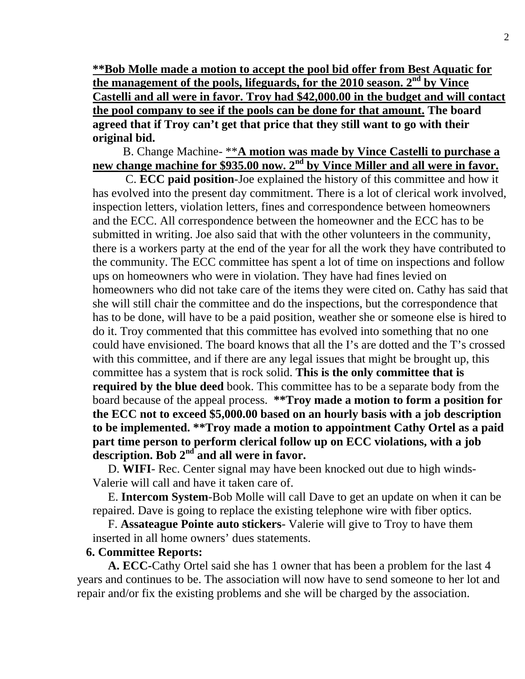**\*\*Bob Molle made a motion to accept the pool bid offer from Best Aquatic for the management of the pools, lifeguards, for the 2010 season. 2nd by Vince Castelli and all were in favor. Troy had \$42,000.00 in the budget and will contact the pool company to see if the pools can be done for that amount. The board agreed that if Troy can't get that price that they still want to go with their original bid.** 

 B. Change Machine- \*\***A motion was made by Vince Castelli to purchase a new change machine for \$935.00 now. 2nd by Vince Miller and all were in favor.**

 C. **ECC paid position**-Joe explained the history of this committee and how it has evolved into the present day commitment. There is a lot of clerical work involved, inspection letters, violation letters, fines and correspondence between homeowners and the ECC. All correspondence between the homeowner and the ECC has to be submitted in writing. Joe also said that with the other volunteers in the community, there is a workers party at the end of the year for all the work they have contributed to the community. The ECC committee has spent a lot of time on inspections and follow ups on homeowners who were in violation. They have had fines levied on homeowners who did not take care of the items they were cited on. Cathy has said that she will still chair the committee and do the inspections, but the correspondence that has to be done, will have to be a paid position, weather she or someone else is hired to do it. Troy commented that this committee has evolved into something that no one could have envisioned. The board knows that all the I's are dotted and the T's crossed with this committee, and if there are any legal issues that might be brought up, this committee has a system that is rock solid. **This is the only committee that is required by the blue deed** book. This committee has to be a separate body from the board because of the appeal process. **\*\*Troy made a motion to form a position for the ECC not to exceed \$5,000.00 based on an hourly basis with a job description to be implemented. \*\*Troy made a motion to appointment Cathy Ortel as a paid part time person to perform clerical follow up on ECC violations, with a job description. Bob 2nd and all were in favor.** 

 D. **WIFI**- Rec. Center signal may have been knocked out due to high winds-Valerie will call and have it taken care of.

 E. **Intercom System**-Bob Molle will call Dave to get an update on when it can be repaired. Dave is going to replace the existing telephone wire with fiber optics.

 F. **Assateague Pointe auto stickers**- Valerie will give to Troy to have them inserted in all home owners' dues statements.

#### **6. Committee Reports:**

 **A. ECC-**Cathy Ortel said she has 1 owner that has been a problem for the last 4 years and continues to be. The association will now have to send someone to her lot and repair and/or fix the existing problems and she will be charged by the association.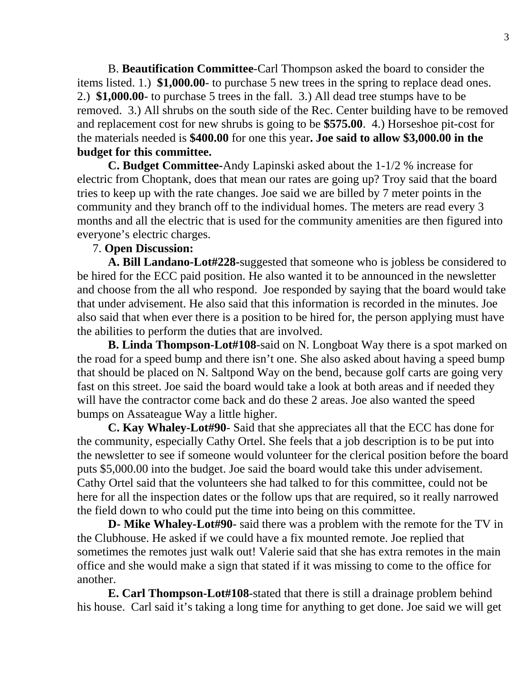B. **Beautification Committee**-Carl Thompson asked the board to consider the items listed. 1.) **\$1,000.00**- to purchase 5 new trees in the spring to replace dead ones. 2.) **\$1,000.00**- to purchase 5 trees in the fall. 3.) All dead tree stumps have to be removed. 3.) All shrubs on the south side of the Rec. Center building have to be removed and replacement cost for new shrubs is going to be **\$575.00**. 4.) Horseshoe pit-cost for the materials needed is **\$400.00** for one this year**. Joe said to allow \$3,000.00 in the budget for this committee.** 

 **C. Budget Committee-**Andy Lapinski asked about the 1-1/2 % increase for electric from Choptank, does that mean our rates are going up? Troy said that the board tries to keep up with the rate changes. Joe said we are billed by 7 meter points in the community and they branch off to the individual homes. The meters are read every 3 months and all the electric that is used for the community amenities are then figured into everyone's electric charges.

### 7. **Open Discussion:**

 **A. Bill Landano-Lot#228-**suggested that someone who is jobless be considered to be hired for the ECC paid position. He also wanted it to be announced in the newsletter and choose from the all who respond. Joe responded by saying that the board would take that under advisement. He also said that this information is recorded in the minutes. Joe also said that when ever there is a position to be hired for, the person applying must have the abilities to perform the duties that are involved.

 **B. Linda Thompson-Lot#108**-said on N. Longboat Way there is a spot marked on the road for a speed bump and there isn't one. She also asked about having a speed bump that should be placed on N. Saltpond Way on the bend, because golf carts are going very fast on this street. Joe said the board would take a look at both areas and if needed they will have the contractor come back and do these 2 areas. Joe also wanted the speed bumps on Assateague Way a little higher.

 **C. Kay Whaley-Lot#90**- Said that she appreciates all that the ECC has done for the community, especially Cathy Ortel. She feels that a job description is to be put into the newsletter to see if someone would volunteer for the clerical position before the board puts \$5,000.00 into the budget. Joe said the board would take this under advisement. Cathy Ortel said that the volunteers she had talked to for this committee, could not be here for all the inspection dates or the follow ups that are required, so it really narrowed the field down to who could put the time into being on this committee.

 **D- Mike Whaley-Lot#90**- said there was a problem with the remote for the TV in the Clubhouse. He asked if we could have a fix mounted remote. Joe replied that sometimes the remotes just walk out! Valerie said that she has extra remotes in the main office and she would make a sign that stated if it was missing to come to the office for another.

 **E. Carl Thompson-Lot#108**-stated that there is still a drainage problem behind his house. Carl said it's taking a long time for anything to get done. Joe said we will get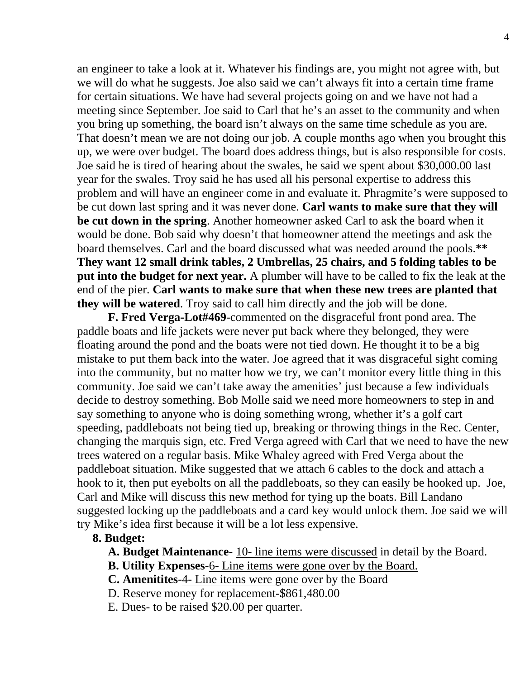an engineer to take a look at it. Whatever his findings are, you might not agree with, but we will do what he suggests. Joe also said we can't always fit into a certain time frame for certain situations. We have had several projects going on and we have not had a meeting since September. Joe said to Carl that he's an asset to the community and when you bring up something, the board isn't always on the same time schedule as you are. That doesn't mean we are not doing our job. A couple months ago when you brought this up, we were over budget. The board does address things, but is also responsible for costs. Joe said he is tired of hearing about the swales, he said we spent about \$30,000.00 last year for the swales. Troy said he has used all his personal expertise to address this problem and will have an engineer come in and evaluate it. Phragmite's were supposed to be cut down last spring and it was never done. **Carl wants to make sure that they will be cut down in the spring**. Another homeowner asked Carl to ask the board when it would be done. Bob said why doesn't that homeowner attend the meetings and ask the board themselves. Carl and the board discussed what was needed around the pools.**\*\* They want 12 small drink tables, 2 Umbrellas, 25 chairs, and 5 folding tables to be put into the budget for next year.** A plumber will have to be called to fix the leak at the end of the pier. **Carl wants to make sure that when these new trees are planted that they will be watered**. Troy said to call him directly and the job will be done.

 **F. Fred Verga-Lot#469**-commented on the disgraceful front pond area. The paddle boats and life jackets were never put back where they belonged, they were floating around the pond and the boats were not tied down. He thought it to be a big mistake to put them back into the water. Joe agreed that it was disgraceful sight coming into the community, but no matter how we try, we can't monitor every little thing in this community. Joe said we can't take away the amenities' just because a few individuals decide to destroy something. Bob Molle said we need more homeowners to step in and say something to anyone who is doing something wrong, whether it's a golf cart speeding, paddleboats not being tied up, breaking or throwing things in the Rec. Center, changing the marquis sign, etc. Fred Verga agreed with Carl that we need to have the new trees watered on a regular basis. Mike Whaley agreed with Fred Verga about the paddleboat situation. Mike suggested that we attach 6 cables to the dock and attach a hook to it, then put eyebolts on all the paddleboats, so they can easily be hooked up. Joe, Carl and Mike will discuss this new method for tying up the boats. Bill Landano suggested locking up the paddleboats and a card key would unlock them. Joe said we will try Mike's idea first because it will be a lot less expensive.

### **8. Budget:**

**A. Budget Maintenance-** 10- line items were discussed in detail by the Board.

**B. Utility Expenses**-6- Line items were gone over by the Board.

**C. Amenitites**-4- Line items were gone over by the Board

D. Reserve money for replacement-\$861,480.00

E. Dues- to be raised \$20.00 per quarter.